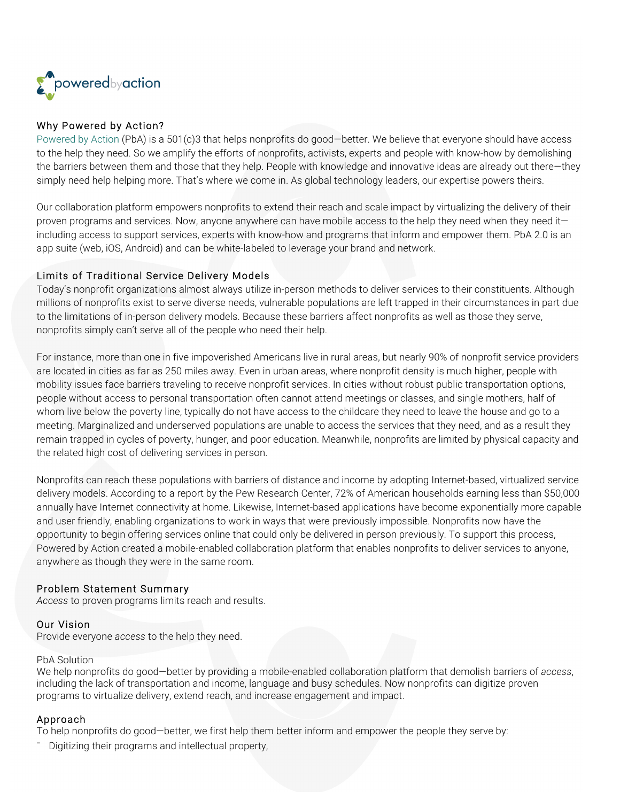

# Why Powered by Action?

Powered by Action (PbA) is a 501(c)3 that helps nonprofits do good-better. We believe that everyone should have access to the help they need. So we amplify the efforts of nonprofits, activists, experts and people with know-how by demolishing the barriers between them and those that they help. People with knowledge and innovative ideas are already out there—they simply need help helping more. That's where we come in. As global technology leaders, our expertise powers theirs.

Our collaboration platform empowers nonprofits to extend their reach and scale impact by virtualizing the delivery of their proven programs and services. Now, anyone anywhere can have mobile access to the help they need when they need it including access to support services, experts with know-how and programs that inform and empower them. PbA 2.0 is an app suite (web, iOS, Android) and can be white-labeled to leverage your brand and network.

## Limits of Traditional Service Delivery Models

Today's nonprofit organizations almost always utilize in-person methods to deliver services to their constituents. Although millions of nonprofits exist to serve diverse needs, vulnerable populations are left trapped in their circumstances in part due to the limitations of in-person delivery models. Because these barriers affect nonprofits as well as those they serve, nonprofits simply can't serve all of the people who need their help.

For instance, more than one in five impoverished Americans live in rural areas, but nearly 90% of nonprofit service providers are located in cities as far as 250 miles away. Even in urban areas, where nonprofit density is much higher, people with mobility issues face barriers traveling to receive nonprofit services. In cities without robust public transportation options, people without access to personal transportation often cannot attend meetings or classes, and single mothers, half of whom live below the poverty line, typically do not have access to the childcare they need to leave the house and go to a meeting. Marginalized and underserved populations are unable to access the services that they need, and as a result they remain trapped in cycles of poverty, hunger, and poor education. Meanwhile, nonprofits are limited by physical capacity and the related high cost of delivering services in person.

Nonprofits can reach these populations with barriers of distance and income by adopting Internet-based, virtualized service delivery models. According to a report by the Pew Research Center, 72% of American households earning less than \$50,000 annually have Internet connectivity at home. Likewise, Internet-based applications have become exponentially more capable and user friendly, enabling organizations to work in ways that were previously impossible. Nonprofits now have the opportunity to begin offering services online that could only be delivered in person previously. To support this process, Powered by Action created a mobile-enabled collaboration platform that enables nonprofits to deliver services to anyone, anywhere as though they were in the same room.

#### Problem Statement Summary

*Access* to proven programs limits reach and results.

## Our Vision

Provide everyone *access* to the help they need.

#### PbA Solution

We help nonprofits do good—better by providing a mobile-enabled collaboration platform that demolish barriers of *access*, including the lack of transportation and income, language and busy schedules. Now nonprofits can digitize proven programs to virtualize delivery, extend reach, and increase engagement and impact.

#### Approach

To help nonprofits do good—better, we first help them better inform and empower the people they serve by:

- Digitizing their programs and intellectual property,